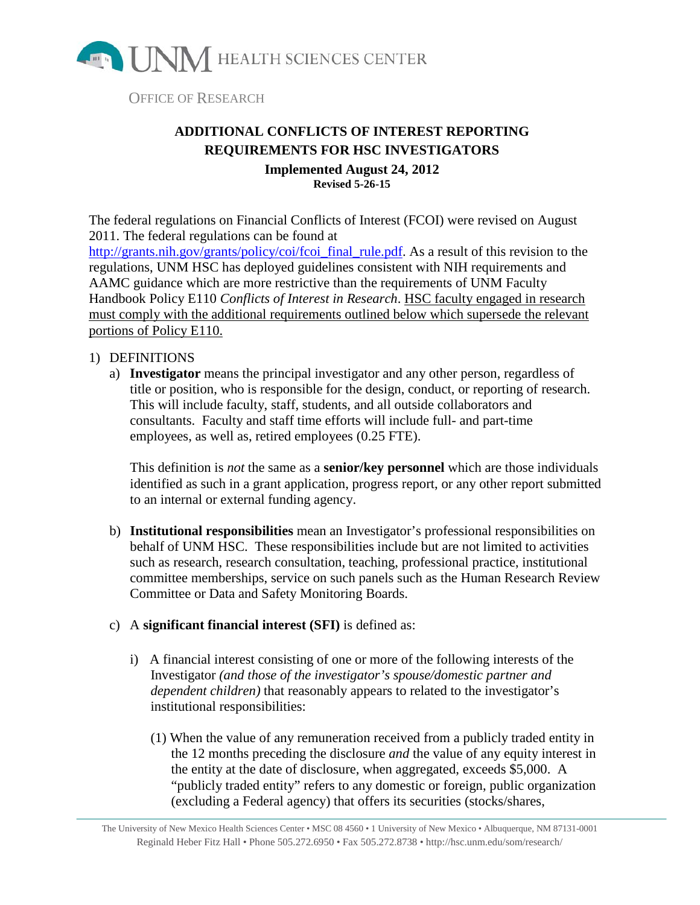

OFFICE OF RESEARCH

## **ADDITIONAL CONFLICTS OF INTEREST REPORTING REQUIREMENTS FOR HSC INVESTIGATORS Implemented August 24, 2012**

**Revised 5-26-15**

The federal regulations on Financial Conflicts of Interest (FCOI) were revised on August 2011. The federal regulations can be found at [http://grants.nih.gov/grants/policy/coi/fcoi\\_final\\_rule.pdf.](http://grants.nih.gov/grants/policy/coi/fcoi_final_rule.pdf) As a result of this revision to the regulations, UNM HSC has deployed guidelines consistent with NIH requirements and AAMC guidance which are more restrictive than the requirements of UNM Faculty Handbook Policy E110 *Conflicts of Interest in Research*. HSC faculty engaged in research must comply with the additional requirements outlined below which supersede the relevant portions of Policy E110.

## 1) DEFINITIONS

a) **Investigator** means the principal investigator and any other person, regardless of title or position, who is responsible for the design, conduct, or reporting of research. This will include faculty, staff, students, and all outside collaborators and consultants. Faculty and staff time efforts will include full- and part-time employees, as well as, retired employees (0.25 FTE).

This definition is *not* the same as a **senior/key personnel** which are those individuals identified as such in a grant application, progress report, or any other report submitted to an internal or external funding agency.

- b) **Institutional responsibilities** mean an Investigator's professional responsibilities on behalf of UNM HSC. These responsibilities include but are not limited to activities such as research, research consultation, teaching, professional practice, institutional committee memberships, service on such panels such as the Human Research Review Committee or Data and Safety Monitoring Boards.
- c) A **significant financial interest (SFI)** is defined as:
	- i) A financial interest consisting of one or more of the following interests of the Investigator *(and those of the investigator's spouse/domestic partner and dependent children)* that reasonably appears to related to the investigator's institutional responsibilities:
		- (1) When the value of any remuneration received from a publicly traded entity in the 12 months preceding the disclosure *and* the value of any equity interest in the entity at the date of disclosure, when aggregated, exceeds \$5,000. A "publicly traded entity" refers to any domestic or foreign, public organization (excluding a Federal agency) that offers its securities (stocks/shares,

The University of New Mexico Health Sciences Center • MSC 08 4560 • 1 University of New Mexico • Albuquerque, NM 87131-0001 Reginald Heber Fitz Hall • Phone 505.272.6950 • Fax 505.272.8738 • http://hsc.unm.edu/som/research/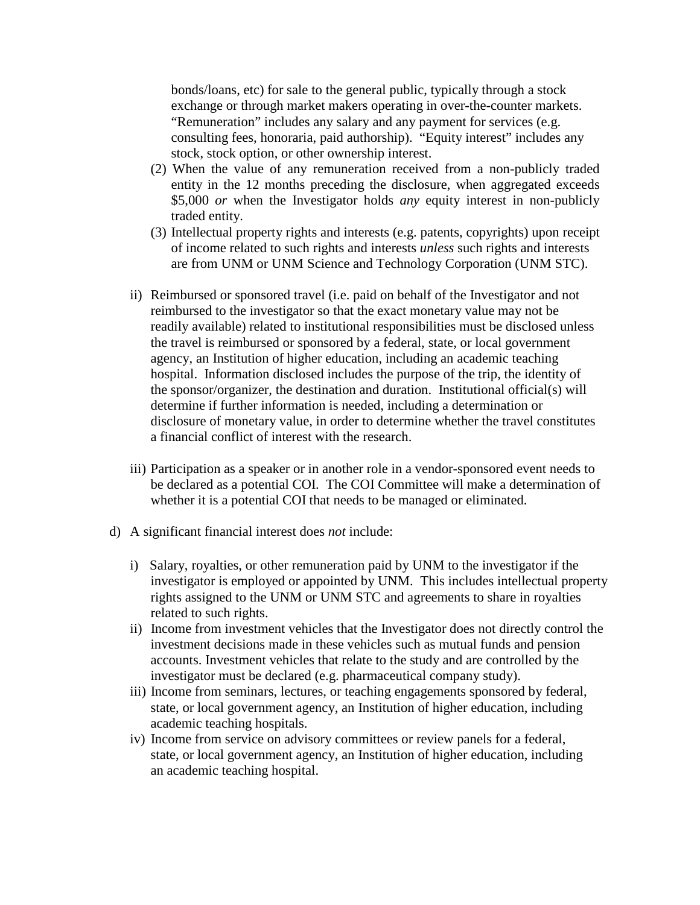bonds/loans, etc) for sale to the general public, typically through a stock exchange or through market makers operating in over-the-counter markets. "Remuneration" includes any salary and any payment for services (e.g. consulting fees, honoraria, paid authorship). "Equity interest" includes any stock, stock option, or other ownership interest.

- (2) When the value of any remuneration received from a non-publicly traded entity in the 12 months preceding the disclosure, when aggregated exceeds \$5,000 *or* when the Investigator holds *any* equity interest in non-publicly traded entity.
- (3) Intellectual property rights and interests (e.g. patents, copyrights) upon receipt of income related to such rights and interests *unless* such rights and interests are from UNM or UNM Science and Technology Corporation (UNM STC).
- ii) Reimbursed or sponsored travel (i.e. paid on behalf of the Investigator and not reimbursed to the investigator so that the exact monetary value may not be readily available) related to institutional responsibilities must be disclosed unless the travel is reimbursed or sponsored by a federal, state, or local government agency, an Institution of higher education, including an academic teaching hospital. Information disclosed includes the purpose of the trip, the identity of the sponsor/organizer, the destination and duration. Institutional official(s) will determine if further information is needed, including a determination or disclosure of monetary value, in order to determine whether the travel constitutes a financial conflict of interest with the research.
- iii) Participation as a speaker or in another role in a vendor-sponsored event needs to be declared as a potential COI. The COI Committee will make a determination of whether it is a potential COI that needs to be managed or eliminated.
- d) A significant financial interest does *not* include:
	- i) Salary, royalties, or other remuneration paid by UNM to the investigator if the investigator is employed or appointed by UNM. This includes intellectual property rights assigned to the UNM or UNM STC and agreements to share in royalties related to such rights.
	- ii) Income from investment vehicles that the Investigator does not directly control the investment decisions made in these vehicles such as mutual funds and pension accounts. Investment vehicles that relate to the study and are controlled by the investigator must be declared (e.g. pharmaceutical company study).
	- iii) Income from seminars, lectures, or teaching engagements sponsored by federal, state, or local government agency, an Institution of higher education, including academic teaching hospitals.
	- iv) Income from service on advisory committees or review panels for a federal, state, or local government agency, an Institution of higher education, including an academic teaching hospital.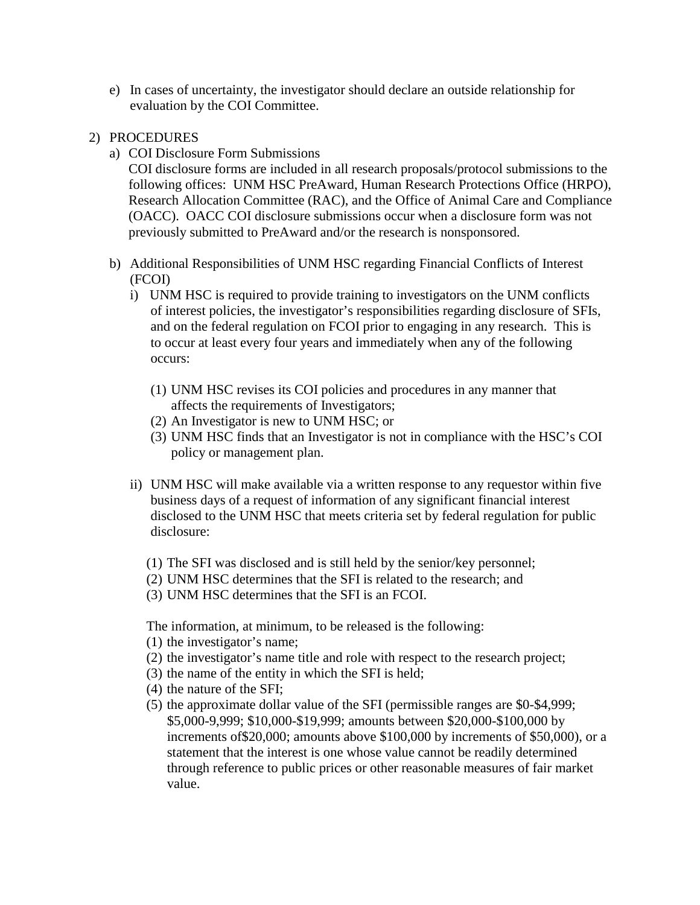e) In cases of uncertainty, the investigator should declare an outside relationship for evaluation by the COI Committee.

## 2) PROCEDURES

- a) COI Disclosure Form Submissions
	- COI disclosure forms are included in all research proposals/protocol submissions to the following offices: UNM HSC PreAward, Human Research Protections Office (HRPO), Research Allocation Committee (RAC), and the Office of Animal Care and Compliance (OACC). OACC COI disclosure submissions occur when a disclosure form was not previously submitted to PreAward and/or the research is nonsponsored.
- b) Additional Responsibilities of UNM HSC regarding Financial Conflicts of Interest (FCOI)
	- i) UNM HSC is required to provide training to investigators on the UNM conflicts of interest policies, the investigator's responsibilities regarding disclosure of SFIs, and on the federal regulation on FCOI prior to engaging in any research. This is to occur at least every four years and immediately when any of the following occurs:
		- (1) UNM HSC revises its COI policies and procedures in any manner that affects the requirements of Investigators;
		- (2) An Investigator is new to UNM HSC; or
		- (3) UNM HSC finds that an Investigator is not in compliance with the HSC's COI policy or management plan.
	- ii) UNM HSC will make available via a written response to any requestor within five business days of a request of information of any significant financial interest disclosed to the UNM HSC that meets criteria set by federal regulation for public disclosure:
		- (1) The SFI was disclosed and is still held by the senior/key personnel;
		- (2) UNM HSC determines that the SFI is related to the research; and
		- (3) UNM HSC determines that the SFI is an FCOI.

The information, at minimum, to be released is the following:

- (1) the investigator's name;
- (2) the investigator's name title and role with respect to the research project;
- (3) the name of the entity in which the SFI is held;
- (4) the nature of the SFI;
- (5) the approximate dollar value of the SFI (permissible ranges are \$0-\$4,999; \$5,000-9,999; \$10,000-\$19,999; amounts between \$20,000-\$100,000 by increments of\$20,000; amounts above \$100,000 by increments of \$50,000), or a statement that the interest is one whose value cannot be readily determined through reference to public prices or other reasonable measures of fair market value.